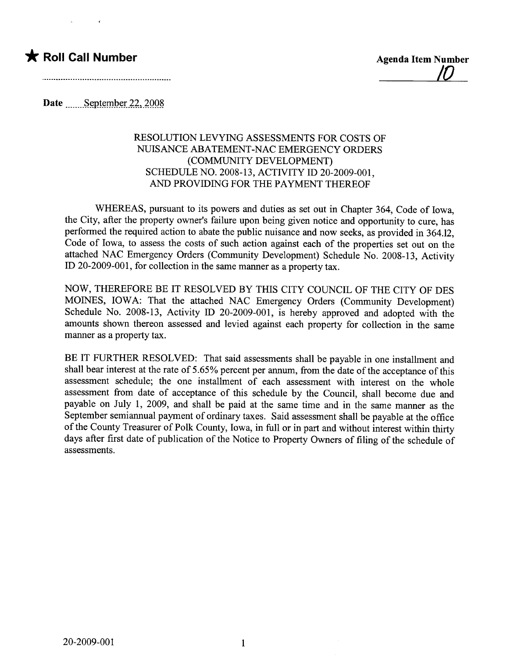## \* Roll Call Number Agenda Item Number



Date  $S$ eptember 22, 2008

## RESOLUTION LEVYING ASSESSMENTS FOR COSTS OF NUISANCE ABATEMENT-NAC EMERGENCY ORDERS (COMMUNITY DEVELOPMENT) SCHEDULE NO. 2008-13, ACTIVITY ID 20-2009-001, AND PROVIDING FOR THE PAYMENT THEREOF

WHEREAS, pursuant to its powers and duties as set out in Chapter 364, Code of Iowa, the City, after the property owner's failure upon being given notice and opportunity to cure, has performed the required action to abate the public nuisance and now seeks, as provided in 364.12, Code of Iowa, to assess the costs of such action against each of the properties set out on the attached NAC Emergency Orders (Community Development) Schedule No. 2008-13, Activity ID 20-2009-001, for collection in the same manner as a property tax.

NOW, THEREFORE BE IT RESOLVED BY THIS CITY COUNCIL OF THE CITY OF DES MOINS, IOWA: That the attached NAC Emergency Orders (Community Development) Schedule No. 2008-13, Activity ID 20-2009-001, is hereby approved and adopted with the amounts shown thereon assessed and levied against each property for collection in the same maner as a property tax.

BE IT FURTHER RESOLVED: That said assessments shall be payable in one installment and shall bear interest at the rate of 5.65% percent per annum, from the date of the acceptance of this assessment schedule; the one installment of each assessment with interest on the whole assessment from date of acceptance of this schedule by the Council, shall become due and payable on July 1, 2009, and shall be paid at the same time and in the same manner as the September semianual payment of ordinary taxes. Said assessment shall be payable at the office of the County Treasurer of Polk County, Iowa, in full or in part and without interest within thirty days after first date of publication of the Notice to Property Owners of fiing of the schedule of assessments.